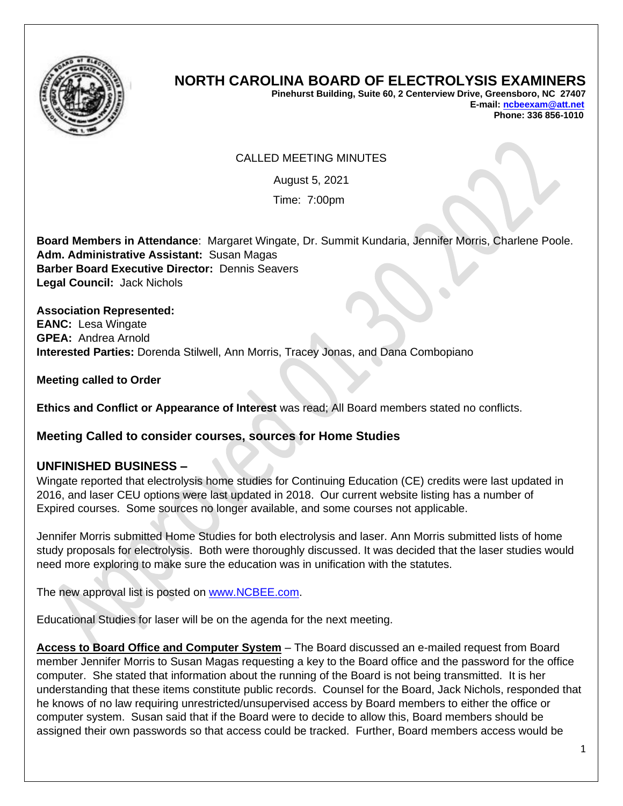

## **NORTH CAROLINA BOARD OF ELECTROLYSIS EXAMINERS**

**Pinehurst Building, Suite 60, 2 Centerview Drive, Greensboro, NC 27407 E-mail[: ncbeexam@att.net](mailto:ncbeexam@att.net) Phone: 336 856-1010** 

## CALLED MEETING MINUTES

August 5, 2021

Time: 7:00pm

**Board Members in Attendance**: Margaret Wingate, Dr. Summit Kundaria, Jennifer Morris, Charlene Poole. **Adm. Administrative Assistant:** Susan Magas **Barber Board Executive Director:** Dennis Seavers **Legal Council:** Jack Nichols

**Association Represented: EANC:** Lesa Wingate **GPEA:** Andrea Arnold **Interested Parties:** Dorenda Stilwell, Ann Morris, Tracey Jonas, and Dana Combopiano

**Meeting called to Order**

**Ethics and Conflict or Appearance of Interest** was read; All Board members stated no conflicts.

## **Meeting Called to consider courses, sources for Home Studies**

## **UNFINISHED BUSINESS –**

Wingate reported that electrolysis home studies for Continuing Education (CE) credits were last updated in 2016, and laser CEU options were last updated in 2018. Our current website listing has a number of Expired courses. Some sources no longer available, and some courses not applicable.

Jennifer Morris submitted Home Studies for both electrolysis and laser. Ann Morris submitted lists of home study proposals for electrolysis. Both were thoroughly discussed. It was decided that the laser studies would need more exploring to make sure the education was in unification with the statutes.

The new approval list is posted on [www.NCBEE.com.](http://www.ncbee.com/)

Educational Studies for laser will be on the agenda for the next meeting.

**Access to Board Office and Computer System** – The Board discussed an e-mailed request from Board member Jennifer Morris to Susan Magas requesting a key to the Board office and the password for the office computer. She stated that information about the running of the Board is not being transmitted. It is her understanding that these items constitute public records. Counsel for the Board, Jack Nichols, responded that he knows of no law requiring unrestricted/unsupervised access by Board members to either the office or computer system. Susan said that if the Board were to decide to allow this, Board members should be assigned their own passwords so that access could be tracked. Further, Board members access would be